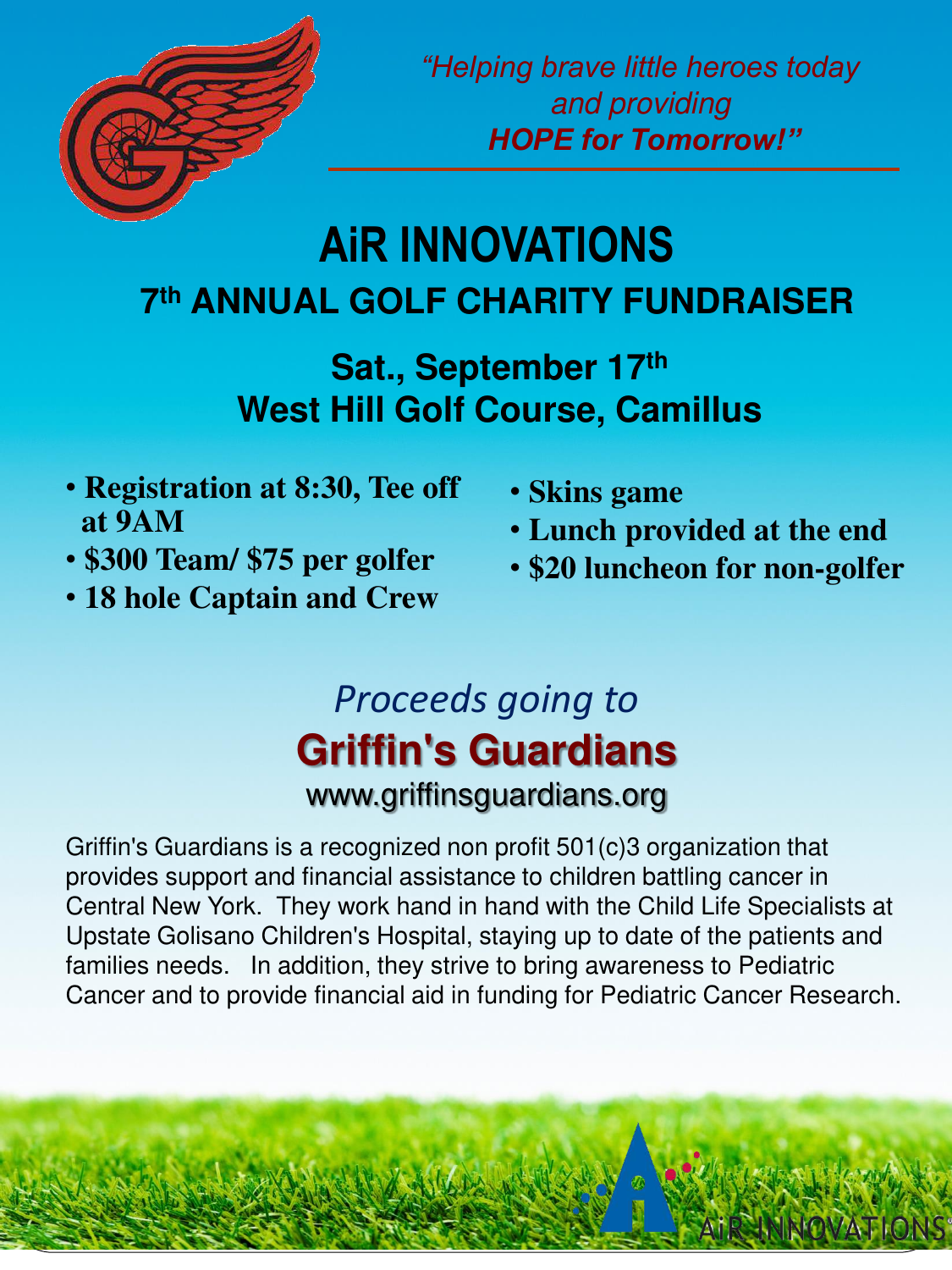

*"Helping brave little heroes today*  and providing *HOPE for Tomorrow!"*

# **AiR INNOVATIONS 7 th ANNUAL GOLF CHARITY FUNDRAISER**

**Sat., September 17th West Hill Golf Course, Camillus**

- **Registration at 8:30, Tee off at 9AM**
- **\$300 Team/ \$75 per golfer**
- **18 hole Captain and Crew**
- **Skins game**
- **Lunch provided at the end**
- **\$20 luncheon for non-golfer**

### *Proceeds going to* **Griffin's Guardians** www.griffinsguardians.org

Griffin's Guardians is a recognized non profit 501(c)3 organization that provides support and financial assistance to children battling cancer in Central New York. They work hand in hand with the Child Life Specialists at Upstate Golisano Children's Hospital, staying up to date of the patients and families needs. In addition, they strive to bring awareness to Pediatric Cancer and to provide financial aid in funding for Pediatric Cancer Research.